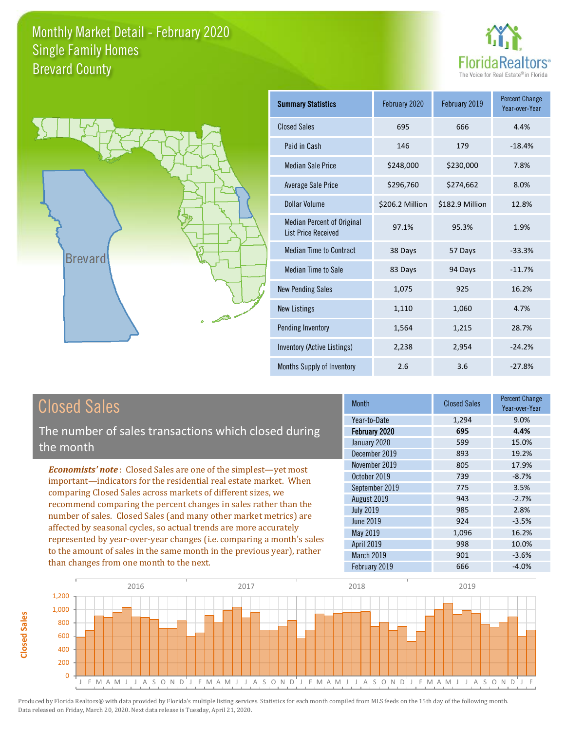



| <b>Summary Statistics</b>                                       | February 2020   | February 2019   | <b>Percent Change</b><br>Year-over-Year |
|-----------------------------------------------------------------|-----------------|-----------------|-----------------------------------------|
| <b>Closed Sales</b>                                             | 695             | 666             | 4.4%                                    |
| Paid in Cash                                                    | 146             | 179             | $-18.4%$                                |
| <b>Median Sale Price</b>                                        | \$248,000       | \$230,000       | 7.8%                                    |
| <b>Average Sale Price</b>                                       | \$296,760       | \$274,662       | 8.0%                                    |
| Dollar Volume                                                   | \$206.2 Million | \$182.9 Million | 12.8%                                   |
| <b>Median Percent of Original</b><br><b>List Price Received</b> | 97.1%           | 95.3%           | 1.9%                                    |
| <b>Median Time to Contract</b>                                  | 38 Days         | 57 Days         | $-33.3%$                                |
| <b>Median Time to Sale</b>                                      | 83 Days         | 94 Days         | $-11.7%$                                |
| <b>New Pending Sales</b>                                        | 1,075           | 925             | 16.2%                                   |
| <b>New Listings</b>                                             | 1,110           | 1,060           | 4.7%                                    |
| Pending Inventory                                               | 1,564           | 1,215           | 28.7%                                   |
| Inventory (Active Listings)                                     | 2,238           | 2,954           | $-24.2%$                                |
| Months Supply of Inventory                                      | 2.6             | 3.6             | $-27.8%$                                |

**Closed Sales**

**Closed Sales** 

The number of sales transactions which closed during the month

*Economists' note* : Closed Sales are one of the simplest—yet most important—indicators for the residential real estate market. When comparing Closed Sales across markets of different sizes, we recommend comparing the percent changes in sales rather than the number of sales. Closed Sales (and many other market metrics) are affected by seasonal cycles, so actual trends are more accurately represented by year-over-year changes (i.e. comparing a month's sales to the amount of sales in the same month in the previous year), rather than changes from one month to the next.

| <b>Month</b>     | <b>Closed Sales</b> | <b>Percent Change</b><br>Year-over-Year |
|------------------|---------------------|-----------------------------------------|
| Year-to-Date     | 1,294               | 9.0%                                    |
| February 2020    | 695                 | 4.4%                                    |
| January 2020     | 599                 | 15.0%                                   |
| December 2019    | 893                 | 19.2%                                   |
| November 2019    | 805                 | 17.9%                                   |
| October 2019     | 739                 | $-8.7%$                                 |
| September 2019   | 775                 | 3.5%                                    |
| August 2019      | 943                 | $-2.7%$                                 |
| <b>July 2019</b> | 985                 | 2.8%                                    |
| <b>June 2019</b> | 924                 | $-3.5%$                                 |
| May 2019         | 1,096               | 16.2%                                   |
| April 2019       | 998                 | 10.0%                                   |
| March 2019       | 901                 | $-3.6%$                                 |
| February 2019    | 666                 | $-4.0%$                                 |

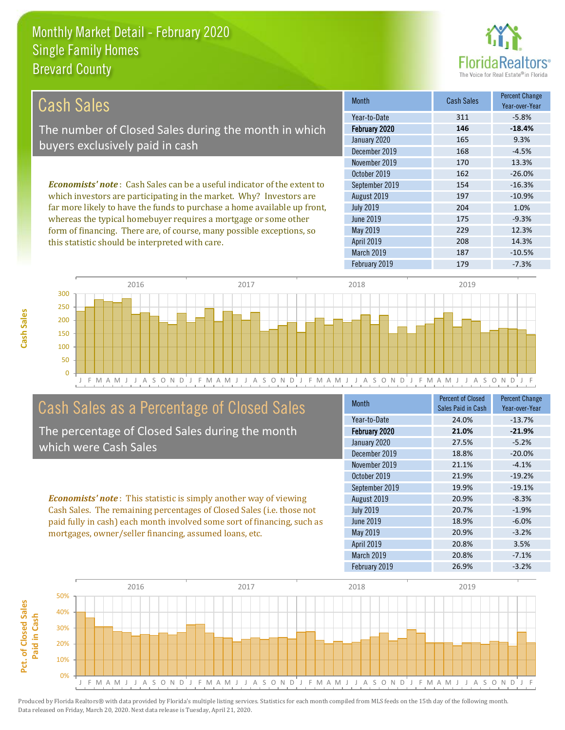this statistic should be interpreted with care.



208 14.3%

| Cash Sales                                                                     | <b>Month</b>     | <b>Cash Sales</b> | <b>Percent Change</b><br>Year-over-Year |
|--------------------------------------------------------------------------------|------------------|-------------------|-----------------------------------------|
|                                                                                | Year-to-Date     | 311               | $-5.8%$                                 |
| The number of Closed Sales during the month in which                           | February 2020    | 146               | $-18.4%$                                |
| buyers exclusively paid in cash                                                | January 2020     | 165               | 9.3%                                    |
|                                                                                | December 2019    | 168               | $-4.5%$                                 |
|                                                                                | November 2019    | 170               | 13.3%                                   |
|                                                                                | October 2019     | 162               | $-26.0%$                                |
| <b>Economists' note:</b> Cash Sales can be a useful indicator of the extent to | September 2019   | 154               | $-16.3%$                                |
| which investors are participating in the market. Why? Investors are            | August 2019      | 197               | $-10.9%$                                |
| far more likely to have the funds to purchase a home available up front,       | <b>July 2019</b> | 204               | 1.0%                                    |
| whereas the typical homebuyer requires a mortgage or some other                | June 2019        | 175               | $-9.3%$                                 |
| form of financing. There are, of course, many possible exceptions, so          | May 2019         | 229               | 12.3%                                   |



# Cash Sales as a Percentage of Closed Sales

The percentage of Closed Sales during the month which were Cash Sales

*Economists' note* : This statistic is simply another way of viewing Cash Sales. The remaining percentages of Closed Sales (i.e. those not paid fully in cash) each month involved some sort of financing, such as mortgages, owner/seller financing, assumed loans, etc.

| <b>Month</b>     | <b>Percent of Closed</b><br>Sales Paid in Cash | <b>Percent Change</b><br>Year-over-Year |
|------------------|------------------------------------------------|-----------------------------------------|
| Year-to-Date     | 24.0%                                          | $-13.7%$                                |
| February 2020    | 21.0%                                          | $-21.9%$                                |
| January 2020     | 27.5%                                          | $-5.2%$                                 |
| December 2019    | 18.8%                                          | $-20.0%$                                |
| November 2019    | 21.1%                                          | $-4.1%$                                 |
| October 2019     | 21.9%                                          | $-19.2%$                                |
| September 2019   | 19.9%                                          | $-19.1%$                                |
| August 2019      | 20.9%                                          | $-8.3%$                                 |
| <b>July 2019</b> | 20.7%                                          | $-1.9%$                                 |
| June 2019        | 18.9%                                          | $-6.0%$                                 |
| <b>May 2019</b>  | 20.9%                                          | $-3.2%$                                 |
| April 2019       | 20.8%                                          | 3.5%                                    |
| March 2019       | 20.8%                                          | $-7.1%$                                 |
| February 2019    | 26.9%                                          | $-3.2%$                                 |

March 2019 187 -10.5%

April 2019



Pct. of Closed Sales **Pct. of Closed Sales**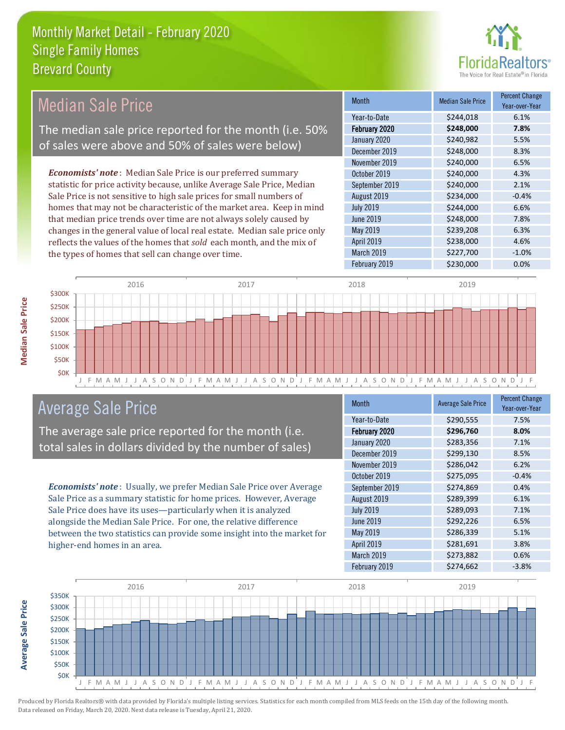

#### *Economists' note* : Median Sale Price is our preferred summary statistic for price activity because, unlike Average Sale Price, Median Sale Price is not sensitive to high sale prices for small numbers of homes that may not be characteristic of the market area. Keep in mind that median price trends over time are not always solely caused by changes in the general value of local real estate. Median sale price only reflects the values of the homes that *sold* each month, and the mix of the types of homes that sell can change over time. February 2019 **\$230,000 0.0%** April 2019 **\$238,000** \$238,000 4.6% March 2019 \$227,700 -1.0% June 2019 **\$248,000** \$248,000 7.8% May 2019 **6.3%** \$239,208 6.3% \$240,000 6.5% October 2019 **\$240,000** \$240,000 4.3% July 2019 **\$244,000 6.6%** January 2020 \$240,982 5.5% December 2019 \$248,000 8.3% September 2019 **\$240,000** 2.1% August 2019 **\$234,000** -0.4% November 2019 Month Median Sale Price Percent Change Year-over-Year February 2020 **\$248,000 7.8%** Year-to-Date \$244,018 6.1% Median Sale Price The median sale price reported for the month (i.e. 50% of sales were above and 50% of sales were below)



# Average Sale Price

The average sale price reported for the month (i.e. total sales in dollars divided by the number of sales)

*Economists' note* : Usually, we prefer Median Sale Price over Average Sale Price as a summary statistic for home prices. However, Average Sale Price does have its uses—particularly when it is analyzed alongside the Median Sale Price. For one, the relative difference between the two statistics can provide some insight into the market for higher-end homes in an area.

| <b>Month</b>     | <b>Average Sale Price</b> | <b>Percent Change</b><br>Year-over-Year |
|------------------|---------------------------|-----------------------------------------|
| Year-to-Date     | \$290,555                 | 7.5%                                    |
| February 2020    | \$296,760                 | 8.0%                                    |
| January 2020     | \$283,356                 | 7.1%                                    |
| December 2019    | \$299,130                 | 8.5%                                    |
| November 2019    | \$286,042                 | 6.2%                                    |
| October 2019     | \$275,095                 | $-0.4%$                                 |
| September 2019   | \$274,869                 | 0.4%                                    |
| August 2019      | \$289,399                 | 6.1%                                    |
| <b>July 2019</b> | \$289,093                 | 7.1%                                    |
| <b>June 2019</b> | \$292,226                 | 6.5%                                    |
| May 2019         | \$286,339                 | 5.1%                                    |
| April 2019       | \$281,691                 | 3.8%                                    |
| March 2019       | \$273,882                 | 0.6%                                    |
| February 2019    | \$274,662                 | $-3.8%$                                 |

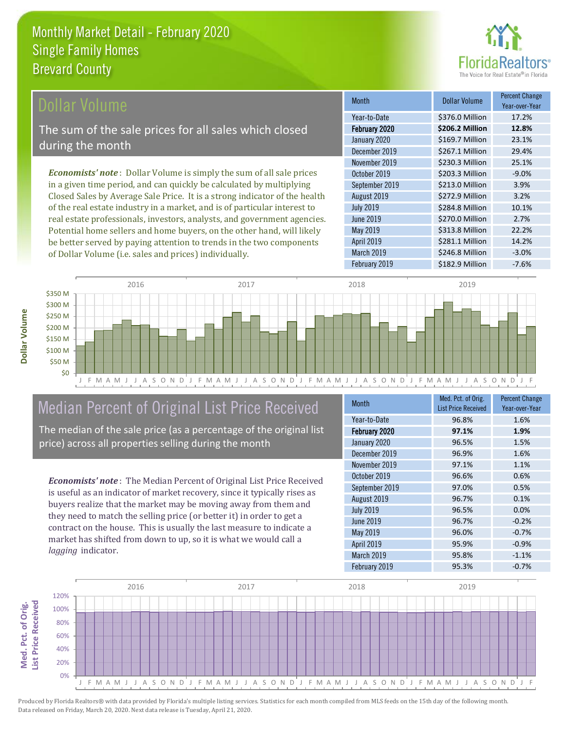

Year-over-Year

### **Ollar Volume**

The sum of the sale prices for all sales which closed during the month

*Economists' note* : Dollar Volume is simply the sum of all sale prices in a given time period, and can quickly be calculated by multiplying Closed Sales by Average Sale Price. It is a strong indicator of the health of the real estate industry in a market, and is of particular interest to real estate professionals, investors, analysts, and government agencies. Potential home sellers and home buyers, on the other hand, will likely be better served by paying attention to trends in the two components of Dollar Volume (i.e. sales and prices) individually.



# Median Percent of Original List Price Received

The median of the sale price (as a percentage of the original list price) across all properties selling during the month

*Economists' note* : The Median Percent of Original List Price Received is useful as an indicator of market recovery, since it typically rises as buyers realize that the market may be moving away from them and they need to match the selling price (or better it) in order to get a contract on the house. This is usually the last measure to indicate a market has shifted from down to up, so it is what we would call a *lagging* indicator.

| <b>Month</b>      | Med. Pct. of Orig.<br><b>List Price Received</b> | <b>Percent Change</b><br>Year-over-Year |
|-------------------|--------------------------------------------------|-----------------------------------------|
| Year-to-Date      | 96.8%                                            | 1.6%                                    |
| February 2020     | 97.1%                                            | 1.9%                                    |
| January 2020      | 96.5%                                            | 1.5%                                    |
| December 2019     | 96.9%                                            | 1.6%                                    |
| November 2019     | 97.1%                                            | 1.1%                                    |
| October 2019      | 96.6%                                            | 0.6%                                    |
| September 2019    | 97.0%                                            | 0.5%                                    |
| August 2019       | 96.7%                                            | 0.1%                                    |
| <b>July 2019</b>  | 96.5%                                            | 0.0%                                    |
| <b>June 2019</b>  | 96.7%                                            | $-0.2%$                                 |
| <b>May 2019</b>   | 96.0%                                            | $-0.7%$                                 |
| <b>April 2019</b> | 95.9%                                            | $-0.9%$                                 |
| March 2019        | 95.8%                                            | $-1.1%$                                 |
| February 2019     | 95.3%                                            | $-0.7%$                                 |

June 2019 **\$270.0 Million** 2.7%

November 2019 **\$230.3 Million** 25.1% October 2019 **\$203.3 Million** -9.0% September 2019 **\$213.0 Million** 3.9% August 2019 **\$272.9 Million** 3.2% July 2019 **\$284.8 Million** 10.1%

January 2020 \$169.7 Million 23.1% December 2019 **\$267.1 Million** 29.4%

February 2020 **\$206.2 Million 12.8%** Year-to-Date \$376.0 Million 17.2%

Month **Dollar Volume** Percent Change

March 2019 **\$246.8 Million** -3.0%

February 2019 **\$182.9 Million** -7.6%

\$281.1 Million 14.2%

\$313.8 Million 22.2%

May 2019

April 2019

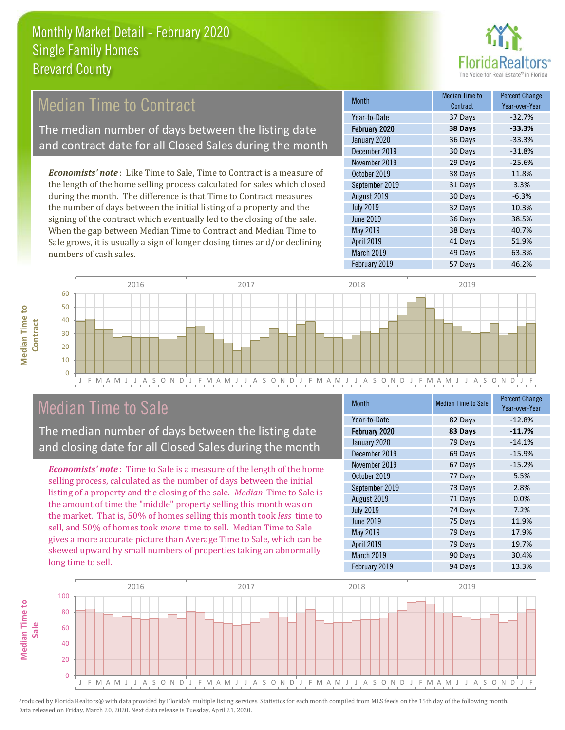

# Median Time to Contract

The median number of days between the listing date and contract date for all Closed Sales during the month

*Economists' note* : Like Time to Sale, Time to Contract is a measure of the length of the home selling process calculated for sales which closed during the month. The difference is that Time to Contract measures the number of days between the initial listing of a property and the signing of the contract which eventually led to the closing of the sale. When the gap between Median Time to Contract and Median Time to Sale grows, it is usually a sign of longer closing times and/or declining numbers of cash sales.

| <b>Month</b>     | Median Time to<br>Contract | <b>Percent Change</b><br>Year-over-Year |
|------------------|----------------------------|-----------------------------------------|
| Year-to-Date     | 37 Days                    | $-32.7%$                                |
| February 2020    | 38 Days                    | $-33.3%$                                |
| January 2020     | 36 Days                    | $-33.3%$                                |
| December 2019    | 30 Days                    | $-31.8%$                                |
| November 2019    | 29 Days                    | $-25.6%$                                |
| October 2019     | 38 Days                    | 11.8%                                   |
| September 2019   | 31 Days                    | 3.3%                                    |
| August 2019      | 30 Days                    | $-6.3%$                                 |
| <b>July 2019</b> | 32 Days                    | 10.3%                                   |
| June 2019        | 36 Days                    | 38.5%                                   |
| <b>May 2019</b>  | 38 Days                    | 40.7%                                   |
| April 2019       | 41 Days                    | 51.9%                                   |
| March 2019       | 49 Days                    | 63.3%                                   |
| February 2019    | 57 Days                    | 46.2%                                   |





# Median Time to Sale

The median number of days between the listing date and closing date for all Closed Sales during the month

*Economists' note* : Time to Sale is a measure of the length of the home selling process, calculated as the number of days between the initial listing of a property and the closing of the sale. *Median* Time to Sale is the amount of time the "middle" property selling this month was on the market. That is, 50% of homes selling this month took *less* time to sell, and 50% of homes took *more* time to sell. Median Time to Sale gives a more accurate picture than Average Time to Sale, which can be skewed upward by small numbers of properties taking an abnormally long time to sell.

| Month            | <b>Median Time to Sale</b> | <b>Percent Change</b><br>Year-over-Year |
|------------------|----------------------------|-----------------------------------------|
| Year-to-Date     | 82 Days                    | $-12.8%$                                |
| February 2020    | 83 Days                    | $-11.7%$                                |
| January 2020     | 79 Days                    | $-14.1%$                                |
| December 2019    | 69 Days                    | $-15.9%$                                |
| November 2019    | 67 Days                    | $-15.2%$                                |
| October 2019     | 77 Days                    | 5.5%                                    |
| September 2019   | 73 Days                    | 2.8%                                    |
| August 2019      | 71 Days                    | 0.0%                                    |
| <b>July 2019</b> | 74 Days                    | 7.2%                                    |
| June 2019        | 75 Days                    | 11.9%                                   |
| May 2019         | 79 Days                    | 17.9%                                   |
| April 2019       | 79 Days                    | 19.7%                                   |
| March 2019       | 90 Days                    | 30.4%                                   |
| February 2019    | 94 Days                    | 13.3%                                   |

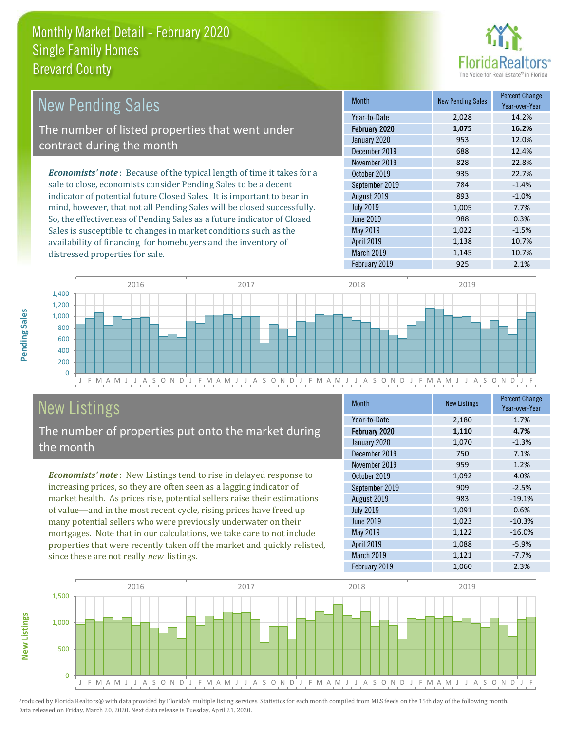

| <b>New Pending Sales</b>                                                       | <b>Month</b>     | <b>New Pending Sales</b> | <b>Percent Change</b><br>Year-over-Year |
|--------------------------------------------------------------------------------|------------------|--------------------------|-----------------------------------------|
|                                                                                | Year-to-Date     | 2,028                    | 14.2%                                   |
| The number of listed properties that went under                                | February 2020    | 1,075                    | 16.2%                                   |
| contract during the month                                                      | January 2020     | 953                      | 12.0%                                   |
|                                                                                | December 2019    | 688                      | 12.4%                                   |
|                                                                                | November 2019    | 828                      | 22.8%                                   |
| <b>Economists' note</b> : Because of the typical length of time it takes for a | October 2019     | 935                      | 22.7%                                   |
| sale to close, economists consider Pending Sales to be a decent                | September 2019   | 784                      | $-1.4%$                                 |
| indicator of potential future Closed Sales. It is important to bear in         | August 2019      | 893                      | $-1.0%$                                 |
| mind, however, that not all Pending Sales will be closed successfully.         | <b>July 2019</b> | 1,005                    | 7.7%                                    |
| So, the effectiveness of Pending Sales as a future indicator of Closed         | June 2019        | 988                      | 0.3%                                    |
| Sales is susceptible to changes in market conditions such as the               | May 2019         | 1,022                    | $-1.5%$                                 |

J F M A M J J A S O N D J F M A M J J A S O N D J F M A M J J A S O N D J F M A M J J A S O N D J F  $\Omega$ 200 400 600 800 1,000 1,200 1,400 2016 2017 2018 2019

# New Listings

distressed properties for sale.

The number of properties put onto the market during the month

availability of financing for homebuyers and the inventory of

*Economists' note* : New Listings tend to rise in delayed response to increasing prices, so they are often seen as a lagging indicator of market health. As prices rise, potential sellers raise their estimations of value—and in the most recent cycle, rising prices have freed up many potential sellers who were previously underwater on their mortgages. Note that in our calculations, we take care to not include properties that were recently taken off the market and quickly relisted, since these are not really *new* listings.

| <b>Month</b>     | <b>New Listings</b> | <b>Percent Change</b><br>Year-over-Year |
|------------------|---------------------|-----------------------------------------|
| Year-to-Date     | 2,180               | 1.7%                                    |
| February 2020    | 1,110               | 4.7%                                    |
| January 2020     | 1,070               | $-1.3%$                                 |
| December 2019    | 750                 | 7.1%                                    |
| November 2019    | 959                 | 1.2%                                    |
| October 2019     | 1,092               | 4.0%                                    |
| September 2019   | 909                 | $-2.5%$                                 |
| August 2019      | 983                 | $-19.1%$                                |
| <b>July 2019</b> | 1,091               | 0.6%                                    |
| <b>June 2019</b> | 1,023               | $-10.3%$                                |
| May 2019         | 1,122               | $-16.0%$                                |
| April 2019       | 1,088               | $-5.9%$                                 |
| March 2019       | 1,121               | $-7.7%$                                 |
| February 2019    | 1,060               | 2.3%                                    |

February 2019 **925** 925 2.1%

April 2019 1,138 10.7% March 2019 1,145 10.7%



**New Listings**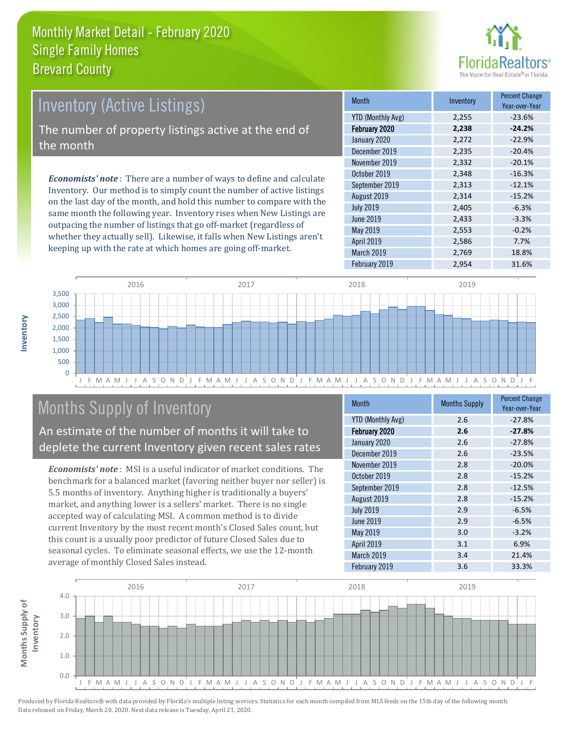

# *Economists' note* : There are a number of ways to define and calculate Inventory (Active Listings) The number of property listings active at the end of the month

Inventory. Our method is to simply count the number of active listings on the last day of the month, and hold this number to compare with the same month the following year. Inventory rises when New Listings are outpacing the number of listings that go off-market (regardless of whether they actually sell). Likewise, it falls when New Listings aren't keeping up with the rate at which homes are going off-market.

| <b>Month</b>             | Inventory | <b>Percent Change</b><br>Year-over-Year |
|--------------------------|-----------|-----------------------------------------|
| <b>YTD (Monthly Avg)</b> | 2,255     | $-23.6%$                                |
| February 2020            | 2,238     | $-24.2%$                                |
| January 2020             | 2,272     | $-22.9%$                                |
| December 2019            | 2,235     | $-20.4%$                                |
| November 2019            | 2,332     | $-20.1%$                                |
| October 2019             | 2,348     | $-16.3%$                                |
| September 2019           | 2,313     | $-12.1%$                                |
| August 2019              | 2,314     | $-15.2%$                                |
| <b>July 2019</b>         | 2,405     | $-6.3%$                                 |
| <b>June 2019</b>         | 2,433     | $-3.3%$                                 |
| May 2019                 | 2,553     | $-0.2%$                                 |
| April 2019               | 2,586     | 7.7%                                    |
| March 2019               | 2,769     | 18.8%                                   |
| February 2019            | 2,954     | 31.6%                                   |



# Months Supply of Inventory

An estimate of the number of months it will take to deplete the current Inventory given recent sales rates

*Economists' note* : MSI is a useful indicator of market conditions. The benchmark for a balanced market (favoring neither buyer nor seller) is 5.5 months of inventory. Anything higher is traditionally a buyers' market, and anything lower is a sellers' market. There is no single accepted way of calculating MSI. A common method is to divide current Inventory by the most recent month's Closed Sales count, but this count is a usually poor predictor of future Closed Sales due to seasonal cycles. To eliminate seasonal effects, we use the 12-month average of monthly Closed Sales instead.

| <b>Month</b>             | <b>Months Supply</b> | <b>Percent Change</b><br>Year-over-Year |
|--------------------------|----------------------|-----------------------------------------|
| <b>YTD (Monthly Avg)</b> | 2.6                  | $-27.8%$                                |
| February 2020            | 2.6                  | $-27.8%$                                |
| January 2020             | 2.6                  | $-27.8%$                                |
| December 2019            | 2.6                  | $-23.5%$                                |
| November 2019            | 2.8                  | $-20.0%$                                |
| October 2019             | 2.8                  | $-15.2%$                                |
| September 2019           | 2.8                  | $-12.5%$                                |
| August 2019              | 2.8                  | $-15.2%$                                |
| <b>July 2019</b>         | 2.9                  | $-6.5%$                                 |
| <b>June 2019</b>         | 2.9                  | $-6.5%$                                 |
| May 2019                 | 3.0                  | $-3.2%$                                 |
| <b>April 2019</b>        | 3.1                  | 6.9%                                    |
| March 2019               | 3.4                  | 21.4%                                   |
| February 2019            | 3.6                  | 33.3%                                   |

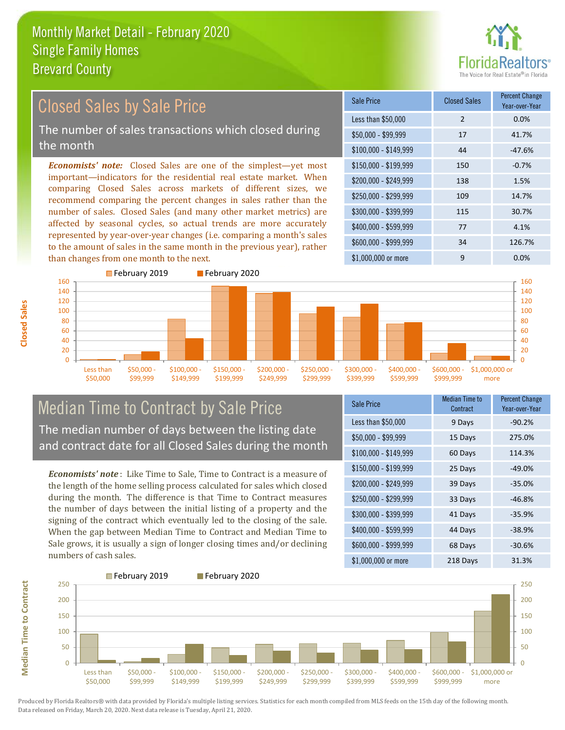than changes from one month to the next.



#### $$100,000 - $149,999$  44 -47.6% Sale Price Closed Sales Percent Change Year-over-Year Less than \$50,000 2 0.0% \$50,000 - \$99,999 17 41.7% \$150,000 - \$199,999 150 -0.7% \$200,000 - \$249,999 138 1.5% \$400,000 - \$599,999 77 4.1% \$600,000 - \$999,999 34 126.7% *Economists' note:* Closed Sales are one of the simplest—yet most important—indicators for the residential real estate market. When comparing Closed Sales across markets of different sizes, we recommend comparing the percent changes in sales rather than the number of sales. Closed Sales (and many other market metrics) are affected by seasonal cycles, so actual trends are more accurately represented by year-over-year changes (i.e. comparing a month's sales to the amount of sales in the same month in the previous year), rather \$250,000 - \$299,999 109 14.7% \$300,000 - \$399,999 115 30.7% Closed Sales by Sale Price The number of sales transactions which closed during the month



### Median Time to Contract by Sale Price The median number of days between the listing date and contract date for all Closed Sales during the month

*Economists' note* : Like Time to Sale, Time to Contract is a measure of the length of the home selling process calculated for sales which closed during the month. The difference is that Time to Contract measures the number of days between the initial listing of a property and the signing of the contract which eventually led to the closing of the sale. When the gap between Median Time to Contract and Median Time to Sale grows, it is usually a sign of longer closing times and/or declining numbers of cash sales.

| Sale Price            | Median Time to<br>Contract | <b>Percent Change</b><br>Year-over-Year |
|-----------------------|----------------------------|-----------------------------------------|
| Less than \$50,000    | 9 Days                     | $-90.2%$                                |
| \$50,000 - \$99,999   | 15 Days                    | 275.0%                                  |
| $$100,000 - $149,999$ | 60 Days                    | 114.3%                                  |
| \$150,000 - \$199,999 | 25 Days                    | $-49.0%$                                |
| \$200,000 - \$249,999 | 39 Days                    | $-35.0%$                                |
| \$250,000 - \$299,999 | 33 Days                    | $-46.8%$                                |
| \$300,000 - \$399,999 | 41 Days                    | $-35.9%$                                |
| \$400,000 - \$599,999 | 44 Days                    | $-38.9%$                                |
| \$600,000 - \$999,999 | 68 Days                    | $-30.6%$                                |
| \$1,000,000 or more   | 218 Days                   | 31.3%                                   |

\$1,000,000 or more 9 0.0%



Produced by Florida Realtors® with data provided by Florida's multiple listing services. Statistics for each month compiled from MLS feeds on the 15th day of the following month. Data released on Friday, March 20, 2020. Next data release is Tuesday, April 21, 2020.

**Median Time to Contract**

**Median Time to Contract**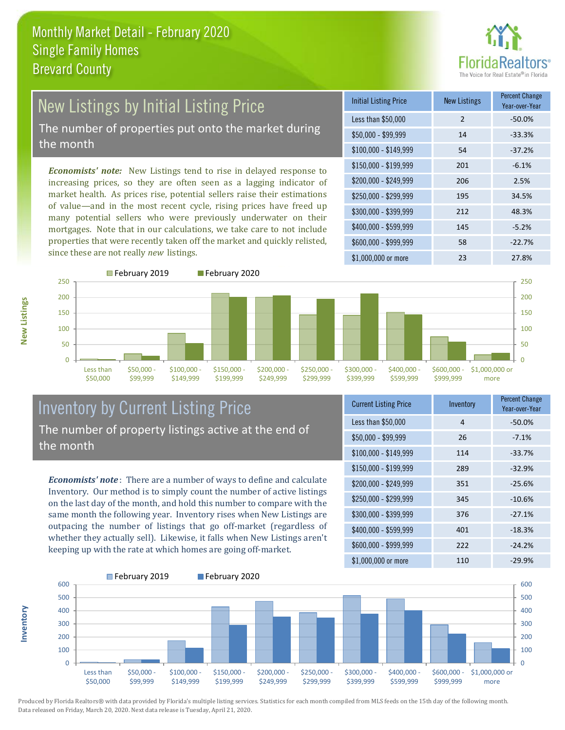

# New Listings by Initial Listing Price The number of properties put onto the market during

the month

*Economists' note:* New Listings tend to rise in delayed response to increasing prices, so they are often seen as a lagging indicator of market health. As prices rise, potential sellers raise their estimations of value—and in the most recent cycle, rising prices have freed up many potential sellers who were previously underwater on their mortgages. Note that in our calculations, we take care to not include properties that were recently taken off the market and quickly relisted, since these are not really *new* listings.

| <b>Initial Listing Price</b> | <b>New Listings</b> | <b>Percent Change</b><br>Year-over-Year |
|------------------------------|---------------------|-----------------------------------------|
| Less than \$50,000           | $\mathcal{P}$       | $-50.0%$                                |
| $$50,000 - $99,999$          | 14                  | $-33.3%$                                |
| $$100,000 - $149,999$        | 54                  | $-37.2%$                                |
| $$150,000 - $199,999$        | 201                 | $-6.1%$                                 |
| \$200,000 - \$249,999        | 206                 | 2.5%                                    |
| \$250,000 - \$299,999        | 195                 | 34.5%                                   |
| \$300,000 - \$399,999        | 212                 | 48.3%                                   |
| \$400,000 - \$599,999        | 145                 | $-5.2%$                                 |
| \$600,000 - \$999,999        | 58                  | $-22.7%$                                |
| \$1,000,000 or more          | 23                  | 27.8%                                   |



February 2019 February 2020



### Inventory by Current Listing Price The number of property listings active at the end of the month

*Economists' note* : There are a number of ways to define and calculate Inventory. Our method is to simply count the number of active listings on the last day of the month, and hold this number to compare with the same month the following year. Inventory rises when New Listings are outpacing the number of listings that go off-market (regardless of whether they actually sell). Likewise, it falls when New Listings aren't keeping up with the rate at which homes are going off-market.

| <b>Current Listing Price</b> | Inventory | <b>Percent Change</b><br>Year-over-Year |
|------------------------------|-----------|-----------------------------------------|
| Less than \$50,000           | 4         | $-50.0%$                                |
| $$50,000 - $99,999$          | 26        | $-7.1%$                                 |
| $$100,000 - $149,999$        | 114       | $-33.7%$                                |
| $$150,000 - $199,999$        | 289       | $-32.9%$                                |
| \$200,000 - \$249,999        | 351       | $-25.6%$                                |
| \$250,000 - \$299,999        | 345       | $-10.6%$                                |
| \$300,000 - \$399,999        | 376       | $-27.1%$                                |
| \$400,000 - \$599,999        | 401       | $-18.3%$                                |
| \$600,000 - \$999,999        | 222       | $-24.2%$                                |
| \$1,000,000 or more          | 110       | $-29.9%$                                |



Produced by Florida Realtors® with data provided by Florida's multiple listing services. Statistics for each month compiled from MLS feeds on the 15th day of the following month. Data released on Friday, March 20, 2020. Next data release is Tuesday, April 21, 2020.

**Inventory**